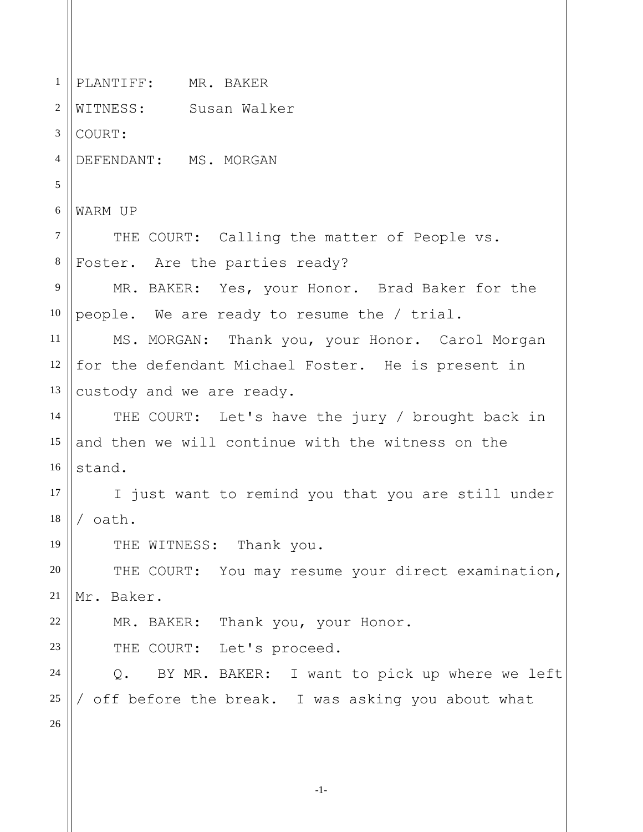1 2 3 4 5 6 7 8 9 10 11 12 13 14 15 16 17 18 19 20 21 22 23 24 25 26 PLANTIFF: MR. BAKER WITNESS: Susan Walker COURT: DEFENDANT: MS. MORGAN WARM UP THE COURT: Calling the matter of People vs. Foster. Are the parties ready? MR. BAKER: Yes, your Honor. Brad Baker for the people. We are ready to resume the / trial. MS. MORGAN: Thank you, your Honor. Carol Morgan for the defendant Michael Foster. He is present in custody and we are ready. THE COURT: Let's have the jury / brought back in and then we will continue with the witness on the stand. I just want to remind you that you are still under / oath. THE WITNESS: Thank you. THE COURT: You may resume your direct examination, Mr. Baker. MR. BAKER: Thank you, your Honor. THE COURT: Let's proceed. Q. BY MR. BAKER: I want to pick up where we left / off before the break. I was asking you about what

-1-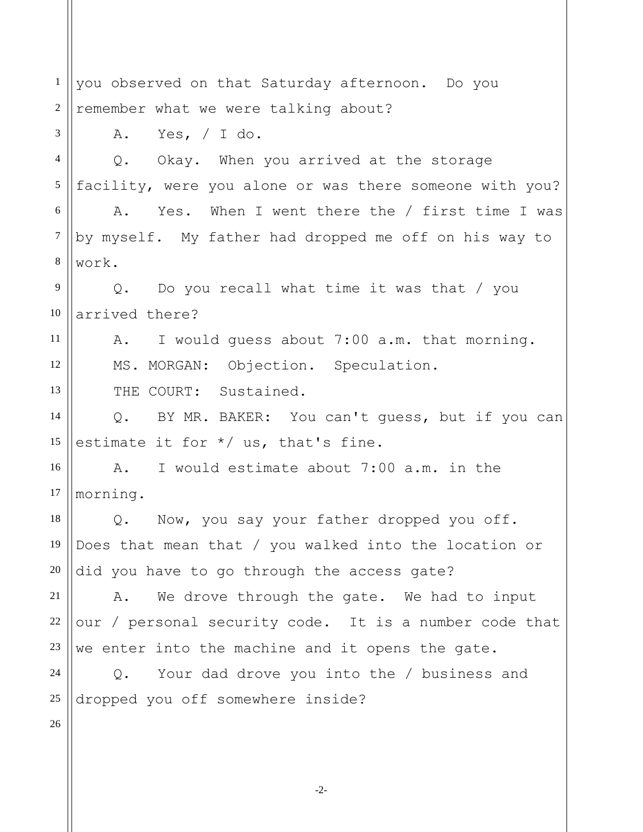1 2 3 4 5 6 7 8 9 10 11 12 13 14 15 16 17 18 19 20 21 22 23 24 25 26 you observed on that Saturday afternoon. Do you remember what we were talking about? A. Yes, / I do. Q. Okay. When you arrived at the storage facility, were you alone or was there someone with you? A. Yes. When I went there the / first time I was by myself. My father had dropped me off on his way to work. Q. Do you recall what time it was that / you arrived there? A. I would guess about 7:00 a.m. that morning. MS. MORGAN: Objection. Speculation. THE COURT: Sustained. Q. BY MR. BAKER: You can't guess, but if you can estimate it for \*/ us, that's fine. A. I would estimate about 7:00 a.m. in the morning. Q. Now, you say your father dropped you off. Does that mean that / you walked into the location or did you have to go through the access gate? A. We drove through the gate. We had to input our / personal security code. It is a number code that we enter into the machine and it opens the gate. Q. Your dad drove you into the / business and dropped you off somewhere inside?

-2-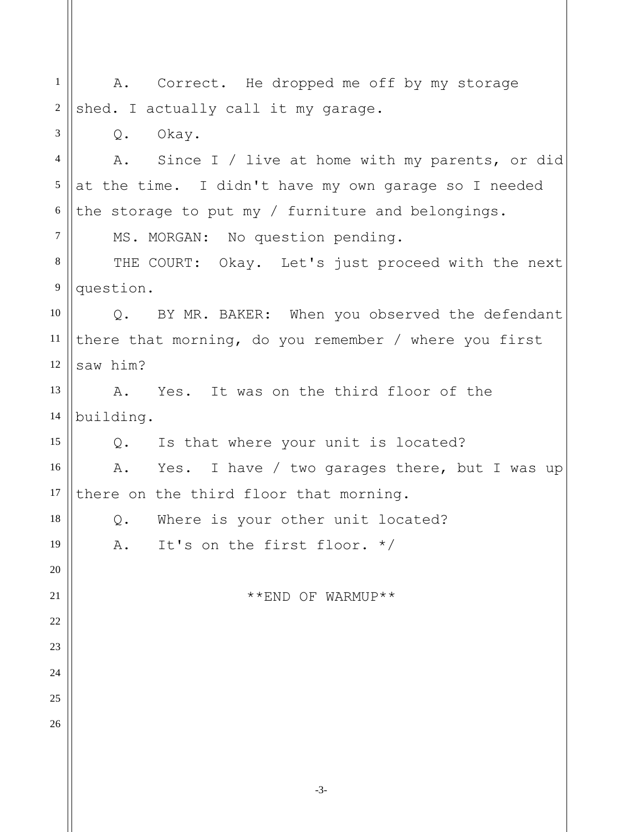| $\mathbf{1}$   | A. Correct. He dropped me off by my storage                    |
|----------------|----------------------------------------------------------------|
| $\overline{2}$ | shed. I actually call it my garage.                            |
| 3              | $Q$ .<br>Okay.                                                 |
| $\overline{4}$ | A.<br>Since I / live at home with my parents, or did           |
| 5              | at the time. I didn't have my own garage so I needed           |
| 6              | the storage to put my / furniture and belongings.              |
| $\overline{7}$ | MS. MORGAN: No question pending.                               |
| 8              | THE COURT: Okay. Let's just proceed with the next              |
| 9              | question.                                                      |
| 10             | BY MR. BAKER: When you observed the defendant<br>$Q_{\bullet}$ |
| 11             | there that morning, do you remember / where you first          |
| 12             | saw him?                                                       |
| 13             | Yes. It was on the third floor of the<br>Α.                    |
| 14             | building.                                                      |
| 15             | Is that where your unit is located?<br>Q.                      |
| 16             | Yes. I have / two garages there, but I was up<br>A.            |
| 17             | there on the third floor that morning.                         |
| 18             | Where is your other unit located?<br>Q.                        |
| 19             | It's on the first floor. $*/$<br>Α.                            |
| 20             |                                                                |
| 21             | **END OF WARMUP**                                              |
| 22             |                                                                |
| 23             |                                                                |
| 24             |                                                                |
| 25             |                                                                |
| 26             |                                                                |
|                |                                                                |
|                |                                                                |

-3-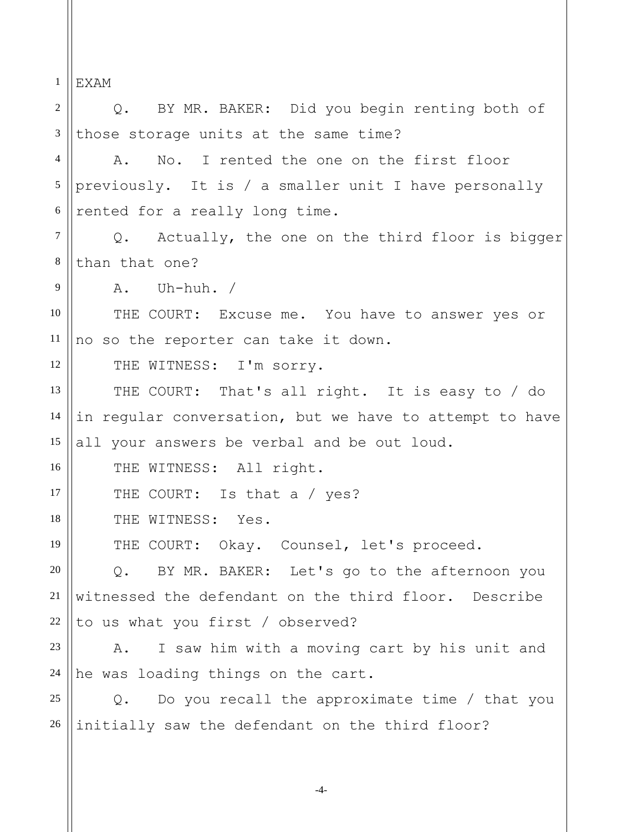1 2 3 4 5 6 7 8 9 10 11 12 13 14 15 16 17 18 19 20 21 22 23 24 25 26 EXAM Q. BY MR. BAKER: Did you begin renting both of those storage units at the same time? A. No. I rented the one on the first floor previously. It is / a smaller unit I have personally rented for a really long time. Q. Actually, the one on the third floor is bigger than that one? A. Uh-huh. / THE COURT: Excuse me. You have to answer yes or no so the reporter can take it down. THE WITNESS: I'm sorry. THE COURT: That's all right. It is easy to / do in regular conversation, but we have to attempt to have all your answers be verbal and be out loud. THE WITNESS: All right. THE COURT: Is that a / yes? THE WITNESS: Yes. THE COURT: Okay. Counsel, let's proceed. Q. BY MR. BAKER: Let's go to the afternoon you witnessed the defendant on the third floor. Describe to us what you first / observed? A. I saw him with a moving cart by his unit and he was loading things on the cart. Q. Do you recall the approximate time / that you initially saw the defendant on the third floor?

-4-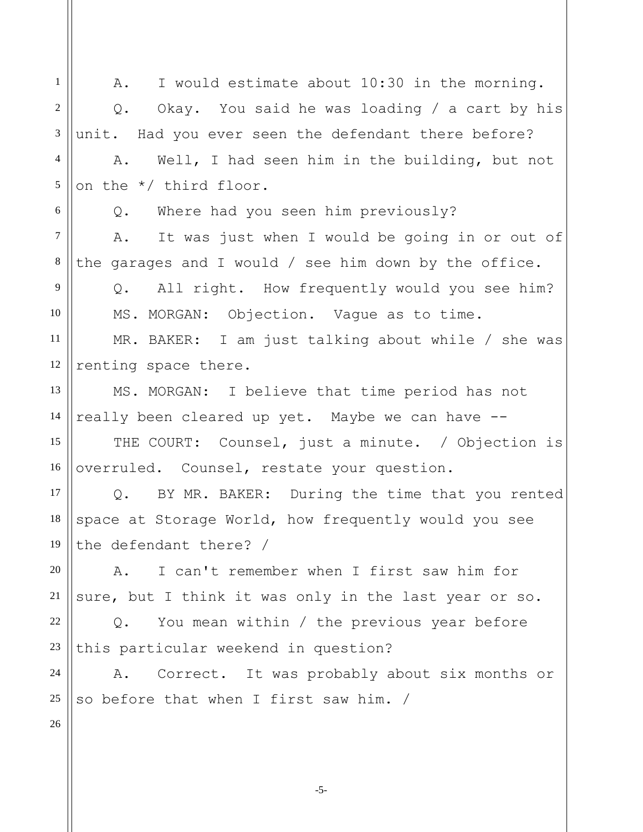1 2 3 4 5 6 7 8 9 10 11 12 13 14 15 16 17 18 19 20 21 22 23 24 25 26 A. I would estimate about 10:30 in the morning. Q. Okay. You said he was loading / a cart by his unit. Had you ever seen the defendant there before? A. Well, I had seen him in the building, but not on the \*/ third floor. Q. Where had you seen him previously? A. It was just when I would be going in or out of the garages and I would / see him down by the office. Q. All right. How frequently would you see him? MS. MORGAN: Objection. Vague as to time. MR. BAKER: I am just talking about while / she was renting space there. MS. MORGAN: I believe that time period has not really been cleared up yet. Maybe we can have -- THE COURT: Counsel, just a minute. / Objection is overruled. Counsel, restate your question. Q. BY MR. BAKER: During the time that you rented space at Storage World, how frequently would you see the defendant there? / A. I can't remember when I first saw him for sure, but I think it was only in the last year or so. Q. You mean within / the previous year before this particular weekend in question? A. Correct. It was probably about six months or so before that when I first saw him. /

-5-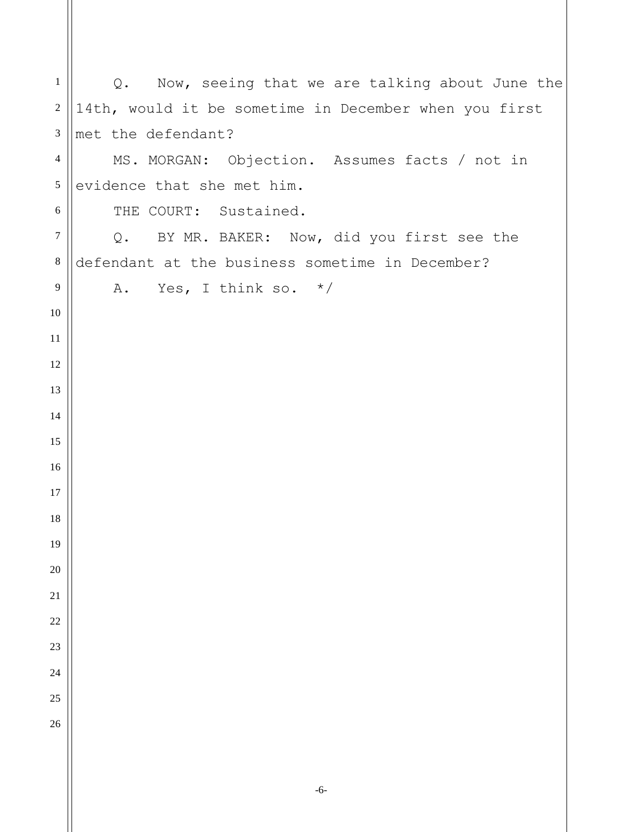| $\mathbf{1}$     | Now, seeing that we are talking about June the<br>Q.  |
|------------------|-------------------------------------------------------|
| $\boldsymbol{2}$ | 14th, would it be sometime in December when you first |
| $\mathfrak{Z}$   | met the defendant?                                    |
| $\overline{4}$   | MS. MORGAN: Objection. Assumes facts / not in         |
| $\mathfrak s$    | evidence that she met him.                            |
| $\sqrt{6}$       | THE COURT: Sustained.                                 |
| $\boldsymbol{7}$ | BY MR. BAKER: Now, did you first see the<br>Q.        |
| $\,8\,$          | defendant at the business sometime in December?       |
| 9                | A. Yes, I think so. $*/$                              |
| 10               |                                                       |
| 11               |                                                       |
| 12               |                                                       |
| 13               |                                                       |
| 14               |                                                       |
| 15               |                                                       |
| 16               |                                                       |
| 17               |                                                       |
| 18               |                                                       |
| 19               |                                                       |
| 20               |                                                       |
| $21\,$           |                                                       |
| 22               |                                                       |
| 23               |                                                       |
| 24<br>25         |                                                       |
| 26               |                                                       |
|                  |                                                       |
|                  |                                                       |
|                  |                                                       |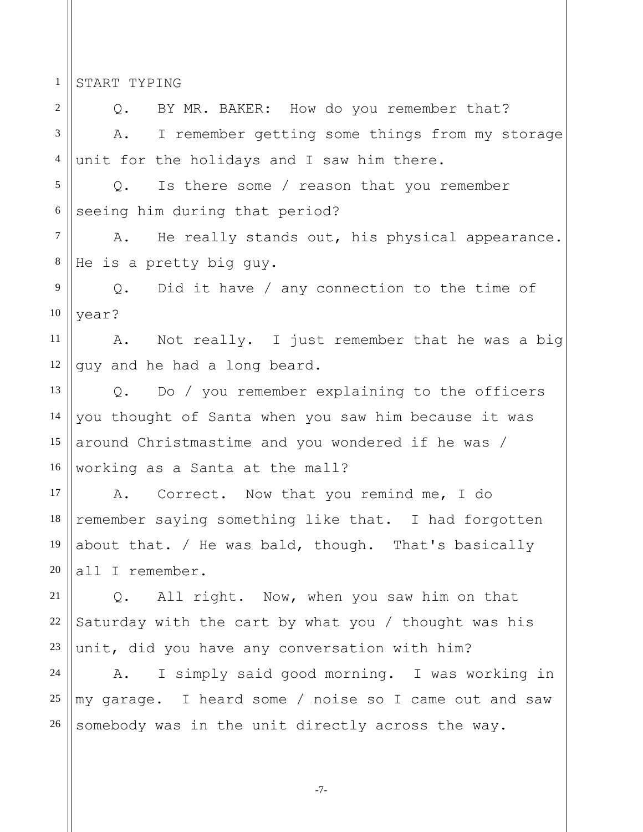1 START TYPING

2 3 4 5 6 7 8 9 10 11 12 13 14 15 16 Q. BY MR. BAKER: How do you remember that? A. I remember getting some things from my storage unit for the holidays and I saw him there. Q. Is there some / reason that you remember seeing him during that period? A. He really stands out, his physical appearance. He is a pretty big guy. Q. Did it have / any connection to the time of year? A. Not really. I just remember that he was a big guy and he had a long beard. Q. Do / you remember explaining to the officers you thought of Santa when you saw him because it was around Christmastime and you wondered if he was / working as a Santa at the mall?

17 18 19 20 A. Correct. Now that you remind me, I do remember saying something like that. I had forgotten about that. / He was bald, though. That's basically all I remember.

21 22 23 Q. All right. Now, when you saw him on that Saturday with the cart by what you / thought was his unit, did you have any conversation with him?

24 25 26 A. I simply said good morning. I was working in my garage. I heard some / noise so I came out and saw somebody was in the unit directly across the way.

-7-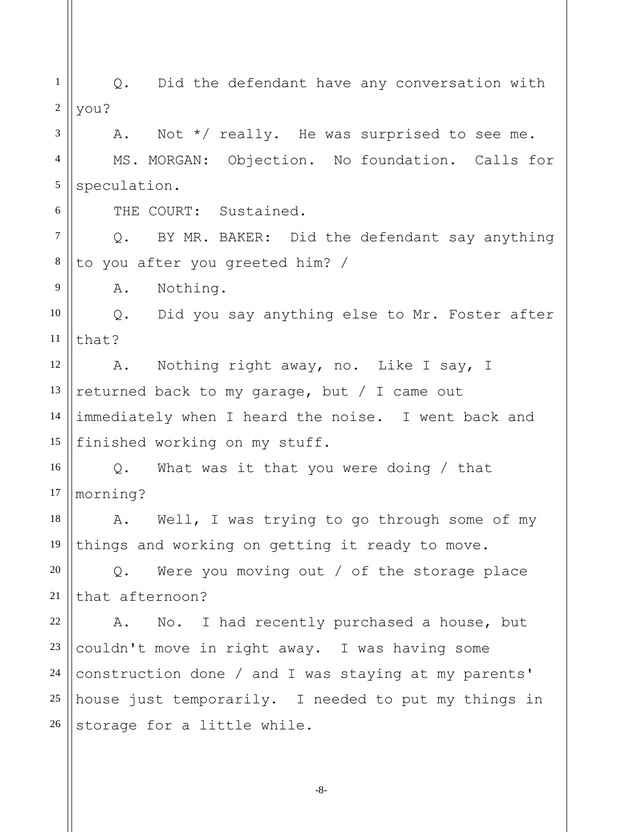1 2 3 4 5 6 7 8 9 10 11 12 13 14 15 16 17 18 19 20 21 22 23 24 25 26 Q. Did the defendant have any conversation with you? A. Not \*/ really. He was surprised to see me. MS. MORGAN: Objection. No foundation. Calls for speculation. THE COURT: Sustained. Q. BY MR. BAKER: Did the defendant say anything to you after you greeted him? / A. Nothing. Q. Did you say anything else to Mr. Foster after that? A. Nothing right away, no. Like I say, I returned back to my garage, but / I came out immediately when I heard the noise. I went back and finished working on my stuff. Q. What was it that you were doing / that morning? A. Well, I was trying to go through some of my things and working on getting it ready to move. Q. Were you moving out / of the storage place that afternoon? A. No. I had recently purchased a house, but couldn't move in right away. I was having some construction done / and I was staying at my parents' house just temporarily. I needed to put my things in storage for a little while.

-8-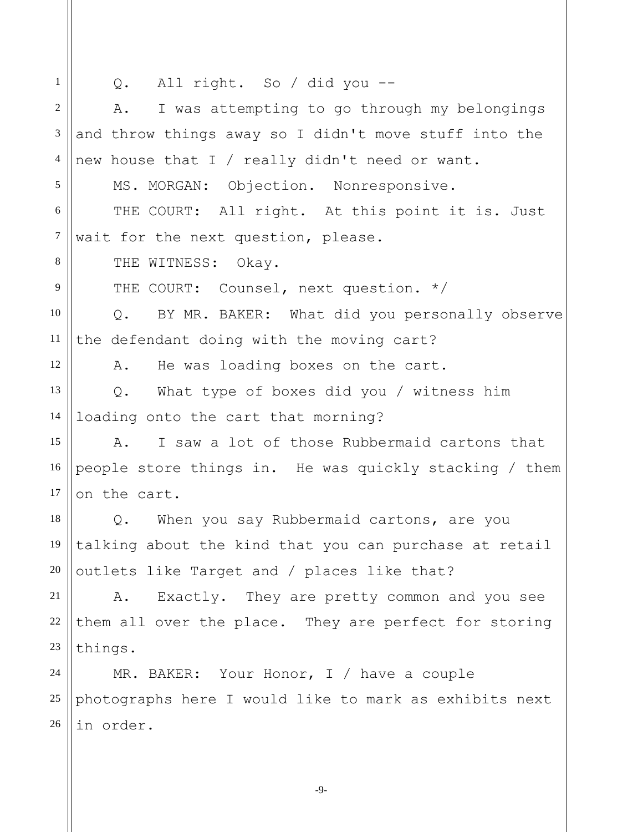1 2 3 4 5 6 7 8 9 10 11 12 13 14 15 16 17 18 19 20 21 22 23 24 25 26 Q. All right. So / did you -- A. I was attempting to go through my belongings and throw things away so I didn't move stuff into the new house that I / really didn't need or want. MS. MORGAN: Objection. Nonresponsive. THE COURT: All right. At this point it is. Just wait for the next question, please. THE WITNESS: Okay. THE COURT: Counsel, next question. \*/ Q. BY MR. BAKER: What did you personally observe the defendant doing with the moving cart? A. He was loading boxes on the cart. Q. What type of boxes did you / witness him loading onto the cart that morning? A. I saw a lot of those Rubbermaid cartons that people store things in. He was quickly stacking / them on the cart. Q. When you say Rubbermaid cartons, are you talking about the kind that you can purchase at retail outlets like Target and / places like that? A. Exactly. They are pretty common and you see them all over the place. They are perfect for storing things. MR. BAKER: Your Honor, I / have a couple photographs here I would like to mark as exhibits next in order.

-9-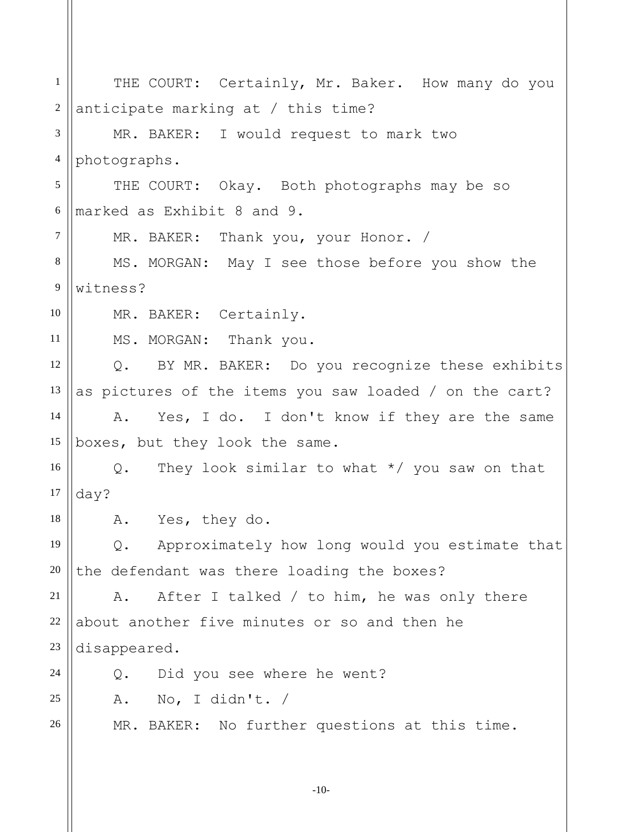| $\mathbf{1}$   | THE COURT: Certainly, Mr. Baker. How many do you                |
|----------------|-----------------------------------------------------------------|
| $\mathbf{2}$   | anticipate marking at / this time?                              |
| 3              | MR. BAKER: I would request to mark two                          |
| $\overline{4}$ | photographs.                                                    |
| 5              | THE COURT: Okay. Both photographs may be so                     |
| $6\,$          | marked as Exhibit 8 and 9.                                      |
| $\overline{7}$ | MR. BAKER: Thank you, your Honor. /                             |
| 8              | MS. MORGAN: May I see those before you show the                 |
| 9              | witness?                                                        |
| 10             | MR. BAKER: Certainly.                                           |
| 11             | MS. MORGAN: Thank you.                                          |
| 12             | BY MR. BAKER: Do you recognize these exhibits<br>$Q_{\bullet}$  |
| 13             | as pictures of the items you saw loaded / on the cart?          |
| 14             | Yes, I do. I don't know if they are the same<br>Α.              |
| 15             | boxes, but they look the same.                                  |
| 16             | They look similar to what $*/$ you saw on that<br>$Q_{\bullet}$ |
| 17             | day?                                                            |
| 18             | A. Yes, they do.                                                |
| 19             | Approximately how long would you estimate that<br>$Q_{\bullet}$ |
| 20             | the defendant was there loading the boxes?                      |
| 21             | After I talked / to him, he was only there<br>Α.                |
| 22             | about another five minutes or so and then he                    |
| 23             | disappeared.                                                    |
| 24             | Did you see where he went?<br>$Q$ .                             |
| 25             | No, I didn't. $/$<br>Α.                                         |
| 26             | MR. BAKER: No further questions at this time.                   |
|                |                                                                 |

-10-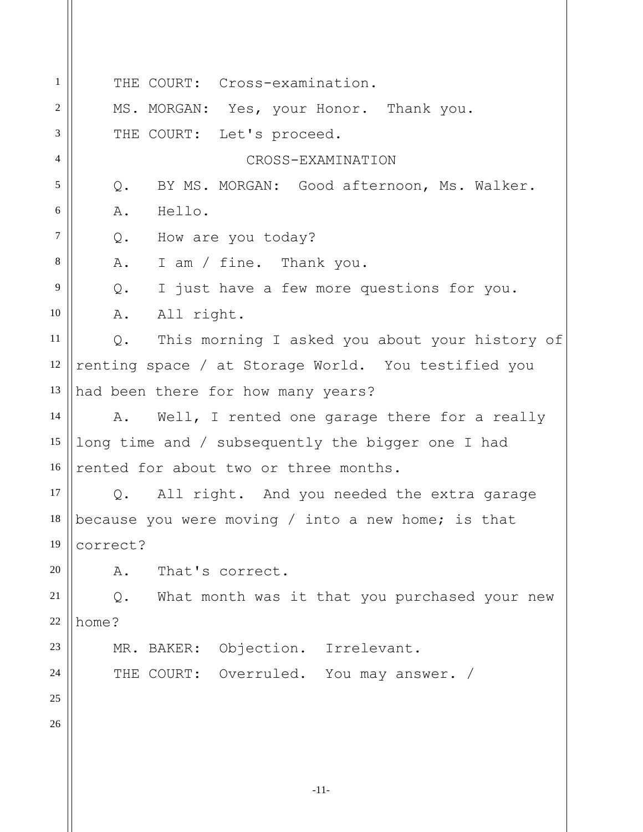1 2 3 4 5 6 7 8 9 10 11 12 13 14 15 16 17 18 19 20 21 22 23 24 25 26 THE COURT: Cross-examination. MS. MORGAN: Yes, your Honor. Thank you. THE COURT: Let's proceed. CROSS-EXAMINATION Q. BY MS. MORGAN: Good afternoon, Ms. Walker. A. Hello. Q. How are you today? A. I am / fine. Thank you. Q. I just have a few more questions for you. A. All right. Q. This morning I asked you about your history of renting space / at Storage World. You testified you had been there for how many years? A. Well, I rented one garage there for a really long time and / subsequently the bigger one I had rented for about two or three months. Q. All right. And you needed the extra garage because you were moving / into a new home; is that correct? A. That's correct. Q. What month was it that you purchased your new home? MR. BAKER: Objection. Irrelevant. THE COURT: Overruled. You may answer. /

-11-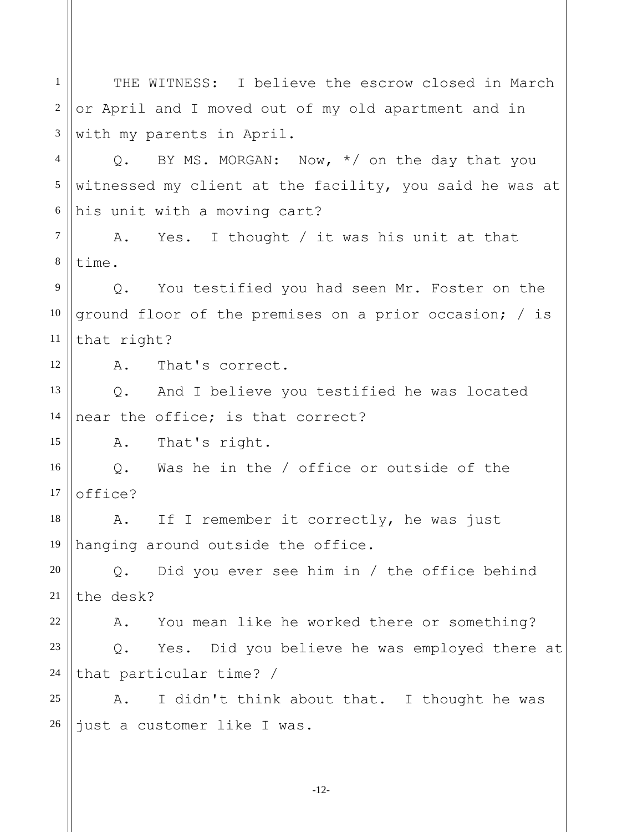1 2 3 4 5 6 7 8 9 10 11 12 13 14 15 16 17 18 19 20 21 22 23 24 25 26 THE WITNESS: I believe the escrow closed in March or April and I moved out of my old apartment and in with my parents in April. Q. BY MS. MORGAN: Now, \*/ on the day that you witnessed my client at the facility, you said he was at his unit with a moving cart? A. Yes. I thought / it was his unit at that time. Q. You testified you had seen Mr. Foster on the ground floor of the premises on a prior occasion; / is that right? A. That's correct. Q. And I believe you testified he was located near the office; is that correct? A. That's right. Q. Was he in the / office or outside of the office? A. If I remember it correctly, he was just hanging around outside the office. Q. Did you ever see him in / the office behind the desk? A. You mean like he worked there or something? Q. Yes. Did you believe he was employed there at that particular time? / A. I didn't think about that. I thought he was just a customer like I was.

-12-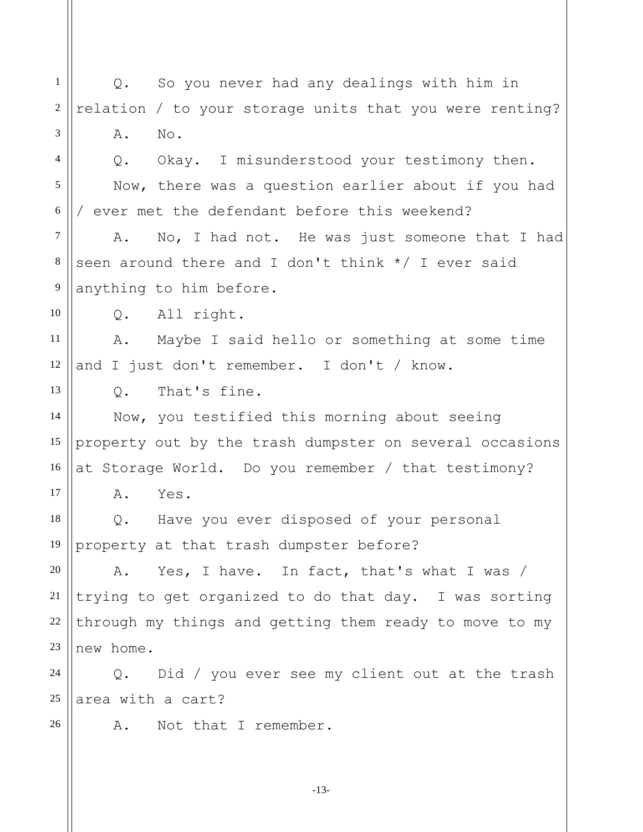1 2 3 4 5 6 7 8 9 10 11 12 13 14 15 16 17 18 19 20 21 22 23 24 25 26 Q. So you never had any dealings with him in relation / to your storage units that you were renting? A. No. Q. Okay. I misunderstood your testimony then. Now, there was a question earlier about if you had / ever met the defendant before this weekend? A. No, I had not. He was just someone that I had seen around there and I don't think \*/ I ever said anything to him before. Q. All right. A. Maybe I said hello or something at some time and I just don't remember. I don't / know. Q. That's fine. Now, you testified this morning about seeing property out by the trash dumpster on several occasions at Storage World. Do you remember / that testimony? A. Yes. Q. Have you ever disposed of your personal property at that trash dumpster before? A. Yes, I have. In fact, that's what I was / trying to get organized to do that day. I was sorting through my things and getting them ready to move to my new home. Q. Did / you ever see my client out at the trash area with a cart? A. Not that I remember.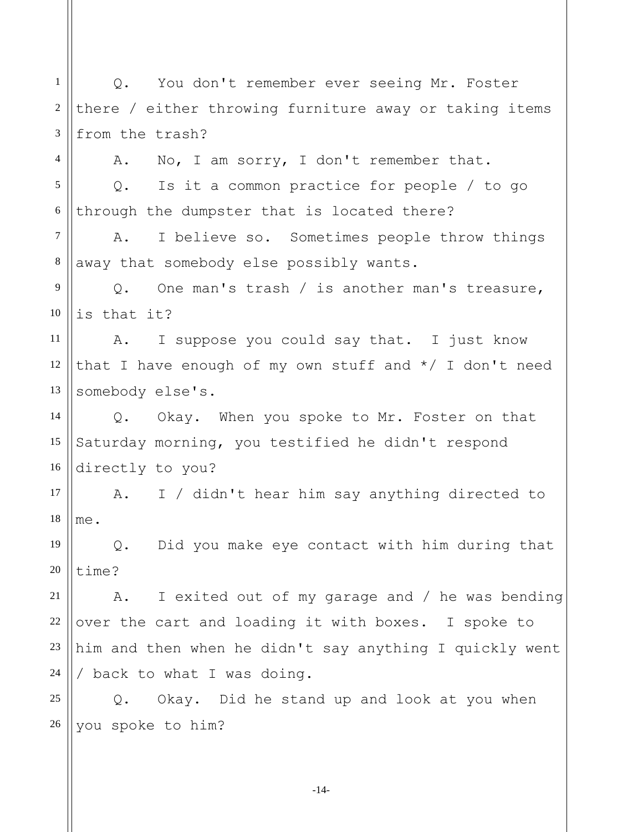1 2 3 4 5 6 7 8 9 10 11 12 13 14 15 16 17 18 19 20 21 22 23 24 25 26 Q. You don't remember ever seeing Mr. Foster there / either throwing furniture away or taking items from the trash? A. No, I am sorry, I don't remember that. Q. Is it a common practice for people / to go through the dumpster that is located there? A. I believe so. Sometimes people throw things away that somebody else possibly wants. Q. One man's trash / is another man's treasure, is that it? A. I suppose you could say that. I just know that I have enough of my own stuff and  $*/$  I don't need somebody else's. Q. Okay. When you spoke to Mr. Foster on that Saturday morning, you testified he didn't respond directly to you? A. I / didn't hear him say anything directed to me. Q. Did you make eye contact with him during that time? A. I exited out of my garage and / he was bending over the cart and loading it with boxes. I spoke to him and then when he didn't say anything I quickly went / back to what I was doing. Q. Okay. Did he stand up and look at you when you spoke to him?

-14-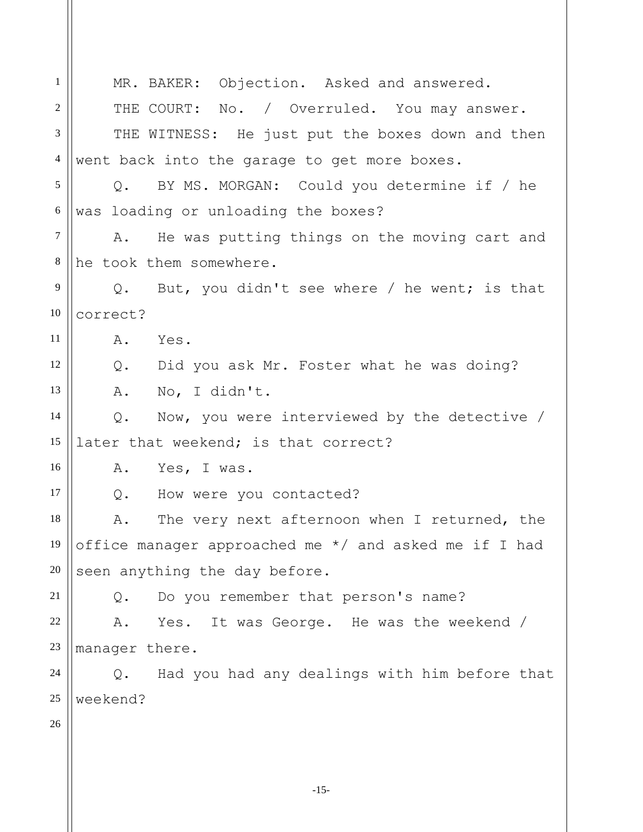-15- 1 2 3 4 5 6 7 8 9 10 11 12 13 14 15 16 17 18 19 20 21 22 23 24 25 26 MR. BAKER: Objection. Asked and answered. THE COURT: No. / Overruled. You may answer. THE WITNESS: He just put the boxes down and then went back into the garage to get more boxes. Q. BY MS. MORGAN: Could you determine if / he was loading or unloading the boxes? A. He was putting things on the moving cart and he took them somewhere. Q. But, you didn't see where / he went; is that correct? A. Yes. Q. Did you ask Mr. Foster what he was doing? A. No, I didn't. Q. Now, you were interviewed by the detective / later that weekend; is that correct? A. Yes, I was. Q. How were you contacted? A. The very next afternoon when I returned, the office manager approached me \*/ and asked me if I had seen anything the day before. Q. Do you remember that person's name? A. Yes. It was George. He was the weekend / manager there. Q. Had you had any dealings with him before that weekend?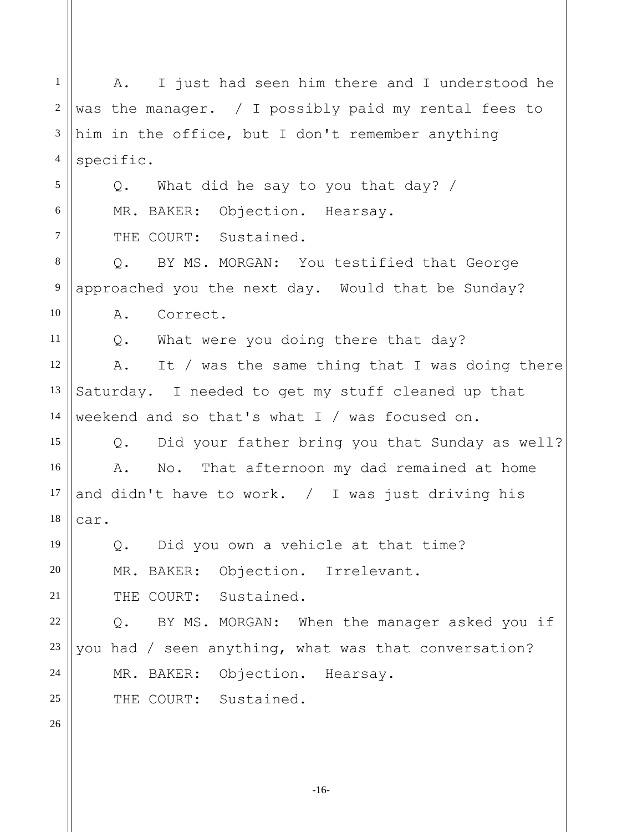1 2 3 4 5 6 7 8 9 10 11 12 13 14 15 16 17 18 19 20 21 22 23 24 25 26 A. I just had seen him there and I understood he was the manager. / I possibly paid my rental fees to him in the office, but I don't remember anything specific. Q. What did he say to you that day? / MR. BAKER: Objection. Hearsay. THE COURT: Sustained. Q. BY MS. MORGAN: You testified that George approached you the next day. Would that be Sunday? A. Correct. Q. What were you doing there that day? A. It / was the same thing that I was doing there Saturday. I needed to get my stuff cleaned up that weekend and so that's what I / was focused on. Q. Did your father bring you that Sunday as well? A. No. That afternoon my dad remained at home and didn't have to work. / I was just driving his car. Q. Did you own a vehicle at that time? MR. BAKER: Objection. Irrelevant. THE COURT: Sustained. Q. BY MS. MORGAN: When the manager asked you if you had / seen anything, what was that conversation? MR. BAKER: Objection. Hearsay. THE COURT: Sustained.

-16-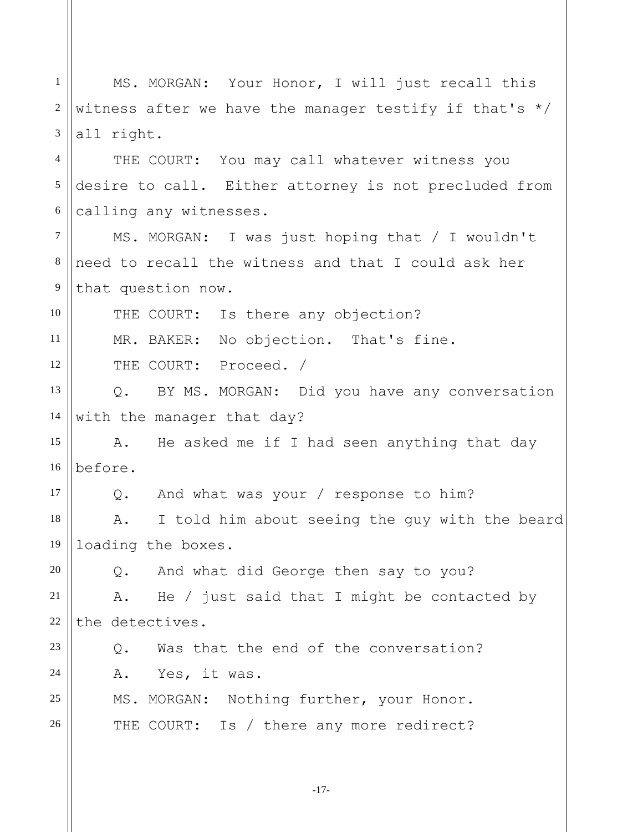1 2 3 4 5 6 7 8 9 10 11 12 13 14 15 16 17 18 19 20 21 22 23 24 25 26 MS. MORGAN: Your Honor, I will just recall this witness after we have the manager testify if that's  $*/$ all right. THE COURT: You may call whatever witness you desire to call. Either attorney is not precluded from calling any witnesses. MS. MORGAN: I was just hoping that / I wouldn't need to recall the witness and that I could ask her that question now. THE COURT: Is there any objection? MR. BAKER: No objection. That's fine. THE COURT: Proceed. / Q. BY MS. MORGAN: Did you have any conversation with the manager that day? A. He asked me if I had seen anything that day before. Q. And what was your / response to him? A. I told him about seeing the guy with the beard loading the boxes. Q. And what did George then say to you? A. He / just said that I might be contacted by the detectives. Q. Was that the end of the conversation? A. Yes, it was. MS. MORGAN: Nothing further, your Honor. THE COURT: Is / there any more redirect?

-17-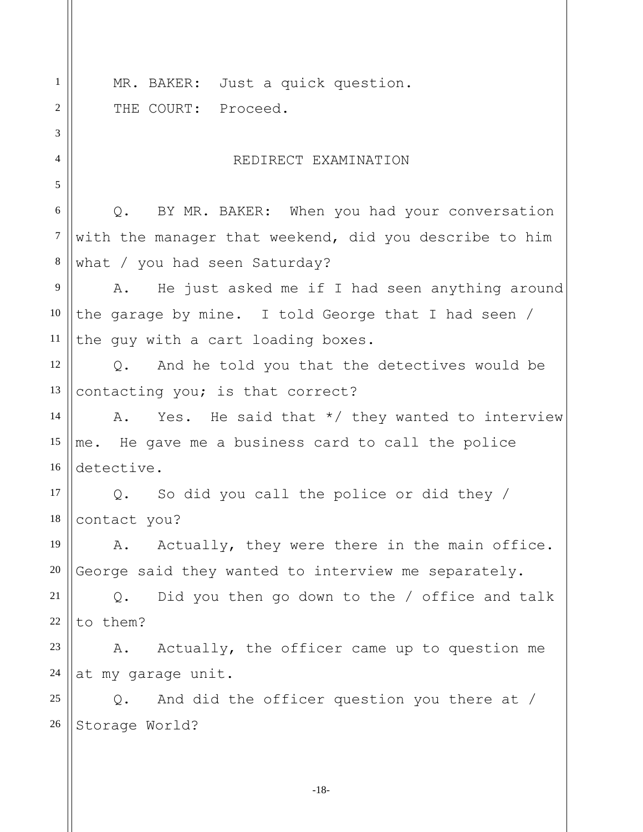1 2 3 4 5 6 7 8 9 10 11 12 13 14 15 16 17 18 19 20 21 22 23 24 25 26 MR. BAKER: Just a quick question. THE COURT: Proceed. REDIRECT EXAMINATION Q. BY MR. BAKER: When you had your conversation with the manager that weekend, did you describe to him what / you had seen Saturday? A. He just asked me if I had seen anything around the garage by mine. I told George that I had seen / the guy with a cart loading boxes. Q. And he told you that the detectives would be contacting you; is that correct? A. Yes. He said that \*/ they wanted to interview me. He gave me a business card to call the police detective. Q. So did you call the police or did they / contact you? A. Actually, they were there in the main office. George said they wanted to interview me separately. Q. Did you then go down to the / office and talk to them? A. Actually, the officer came up to question me at my garage unit. Q. And did the officer question you there at / Storage World?

-18-